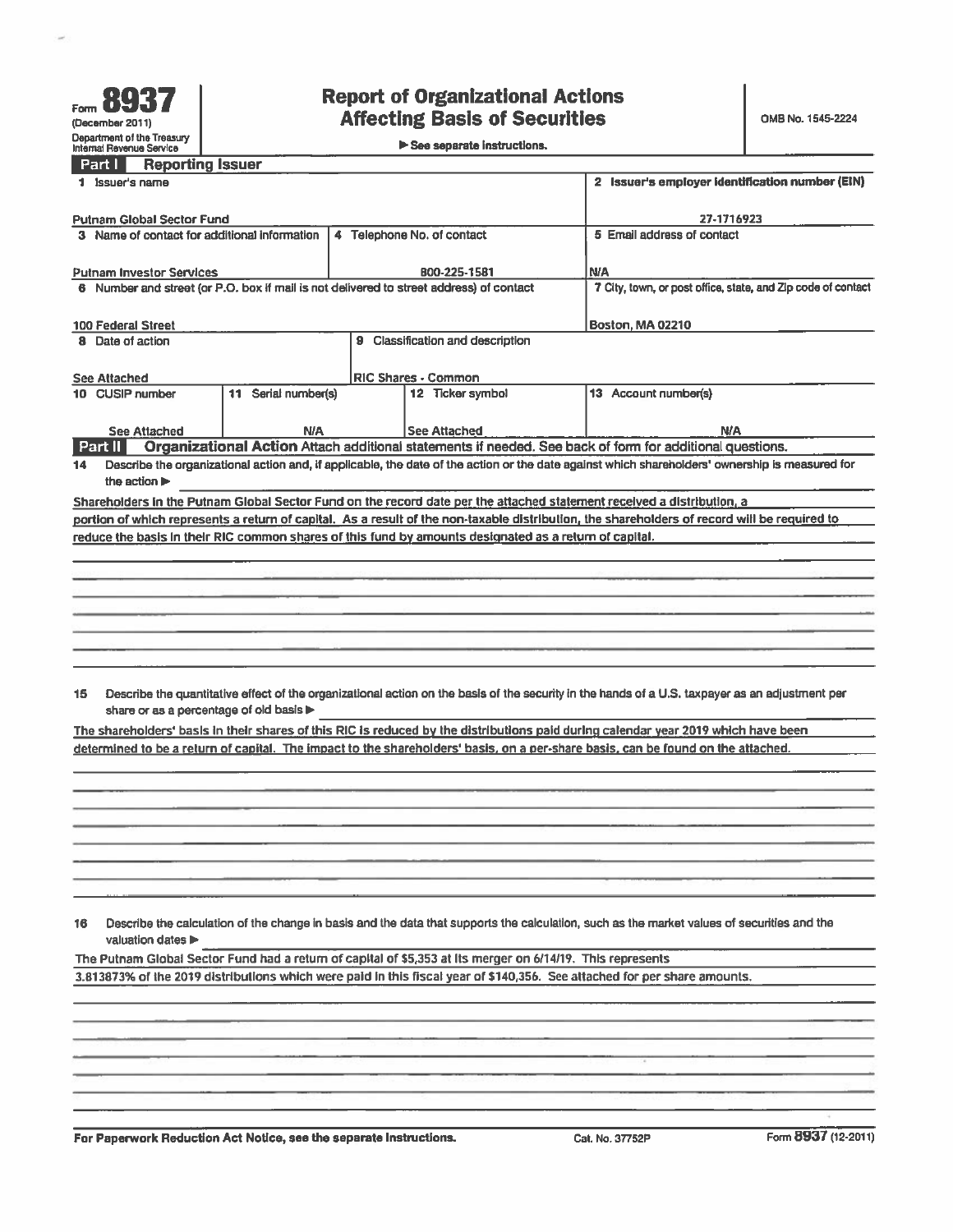|  |  | See separate instructions. |
|--|--|----------------------------|
|  |  |                            |

| <b>Reporting Issuer</b><br>Part I                                                                                                |                                          |                                                                                                                                                 |
|----------------------------------------------------------------------------------------------------------------------------------|------------------------------------------|-------------------------------------------------------------------------------------------------------------------------------------------------|
| 1 Issuer's name                                                                                                                  |                                          | 2 Issuer's employer identification number (EIN)                                                                                                 |
|                                                                                                                                  |                                          |                                                                                                                                                 |
| <b>Putnam Global Sector Fund</b><br>3 Name of contact for additional information                                                 | 27-1716923<br>5 Email address of contact |                                                                                                                                                 |
|                                                                                                                                  |                                          |                                                                                                                                                 |
| <b>Putnam Investor Services</b>                                                                                                  | B00-225-1581                             | <b>N/A</b>                                                                                                                                      |
| 6 Number and street (or P.O. box if mail is not delivered to street address) of contact                                          |                                          | 7 City, town, or post office, state, and Zip code of contact                                                                                    |
|                                                                                                                                  |                                          |                                                                                                                                                 |
| 100 Federal Street                                                                                                               | <b>Boston, MA 02210</b>                  |                                                                                                                                                 |
| 8 Date of action                                                                                                                 | 9 Classification and description         |                                                                                                                                                 |
|                                                                                                                                  |                                          |                                                                                                                                                 |
| <b>See Attached</b><br>10 CUSIP number<br>11 Serial number(s)                                                                    | RIC Shares - Common<br>12 Ticker symbol  | 13 Account number(s)                                                                                                                            |
|                                                                                                                                  |                                          |                                                                                                                                                 |
| N/A<br><b>See Attached</b>                                                                                                       | <b>See Attached</b>                      | <b>N/A</b>                                                                                                                                      |
| Part II                                                                                                                          |                                          | Organizational Action Attach additional statements if needed. See back of form for additional questions.                                        |
| 14                                                                                                                               |                                          | Describe the organizational action and, if applicable, the date of the action or the date against which shareholders' ownership is measured for |
| the action $\blacktriangleright$                                                                                                 |                                          |                                                                                                                                                 |
| Shareholders in the Putnam Global Sector Fund on the record date per the attached statement received a distribution, a           |                                          |                                                                                                                                                 |
|                                                                                                                                  |                                          | portion of which represents a return of capital. As a result of the non-taxable distribution, the shareholders of record will be required to    |
| reduce the basis in their RIC common shares of this fund by amounts designated as a return of capital.                           |                                          |                                                                                                                                                 |
|                                                                                                                                  |                                          |                                                                                                                                                 |
|                                                                                                                                  |                                          |                                                                                                                                                 |
|                                                                                                                                  |                                          |                                                                                                                                                 |
|                                                                                                                                  |                                          |                                                                                                                                                 |
|                                                                                                                                  |                                          |                                                                                                                                                 |
|                                                                                                                                  |                                          |                                                                                                                                                 |
|                                                                                                                                  |                                          |                                                                                                                                                 |
| 15                                                                                                                               |                                          | Describe the quantitative effect of the organizational action on the basis of the security in the hands of a U.S. taxpayer as an adjustment per |
| share or as a percentage of old basis                                                                                            |                                          |                                                                                                                                                 |
|                                                                                                                                  |                                          | The shareholders' basis in their shares of this RIC is reduced by the distributions paid during calendar year 2019 which have been              |
| determined to be a return of capital. The impact to the shareholders' basis, on a per-share basis, can be found on the attached. |                                          |                                                                                                                                                 |
|                                                                                                                                  |                                          |                                                                                                                                                 |
|                                                                                                                                  |                                          |                                                                                                                                                 |
|                                                                                                                                  |                                          |                                                                                                                                                 |
|                                                                                                                                  |                                          |                                                                                                                                                 |
|                                                                                                                                  |                                          |                                                                                                                                                 |
|                                                                                                                                  |                                          |                                                                                                                                                 |
|                                                                                                                                  |                                          |                                                                                                                                                 |
|                                                                                                                                  |                                          |                                                                                                                                                 |
| 16                                                                                                                               |                                          | Describe the calculation of the change in basis and the data that supports the calculation, such as the market values of securities and the     |
| valuation dates                                                                                                                  |                                          |                                                                                                                                                 |
| The Putnam Global Sector Fund had a return of capital of \$5,353 at its merger on 6/14/19. This represents                       |                                          |                                                                                                                                                 |
| 3.813873% of the 2019 distributions which were paid in this fiscal year of \$140,356. See attached for per share amounts.        |                                          |                                                                                                                                                 |
|                                                                                                                                  |                                          |                                                                                                                                                 |
|                                                                                                                                  |                                          |                                                                                                                                                 |
|                                                                                                                                  |                                          |                                                                                                                                                 |
|                                                                                                                                  |                                          |                                                                                                                                                 |
|                                                                                                                                  |                                          |                                                                                                                                                 |
|                                                                                                                                  |                                          |                                                                                                                                                 |
|                                                                                                                                  |                                          |                                                                                                                                                 |
| For Paperwork Reduction Act Notice, see the separate Instructions.                                                               |                                          | Form 8937 (12-2011)<br>Cat. No. 37752P                                                                                                          |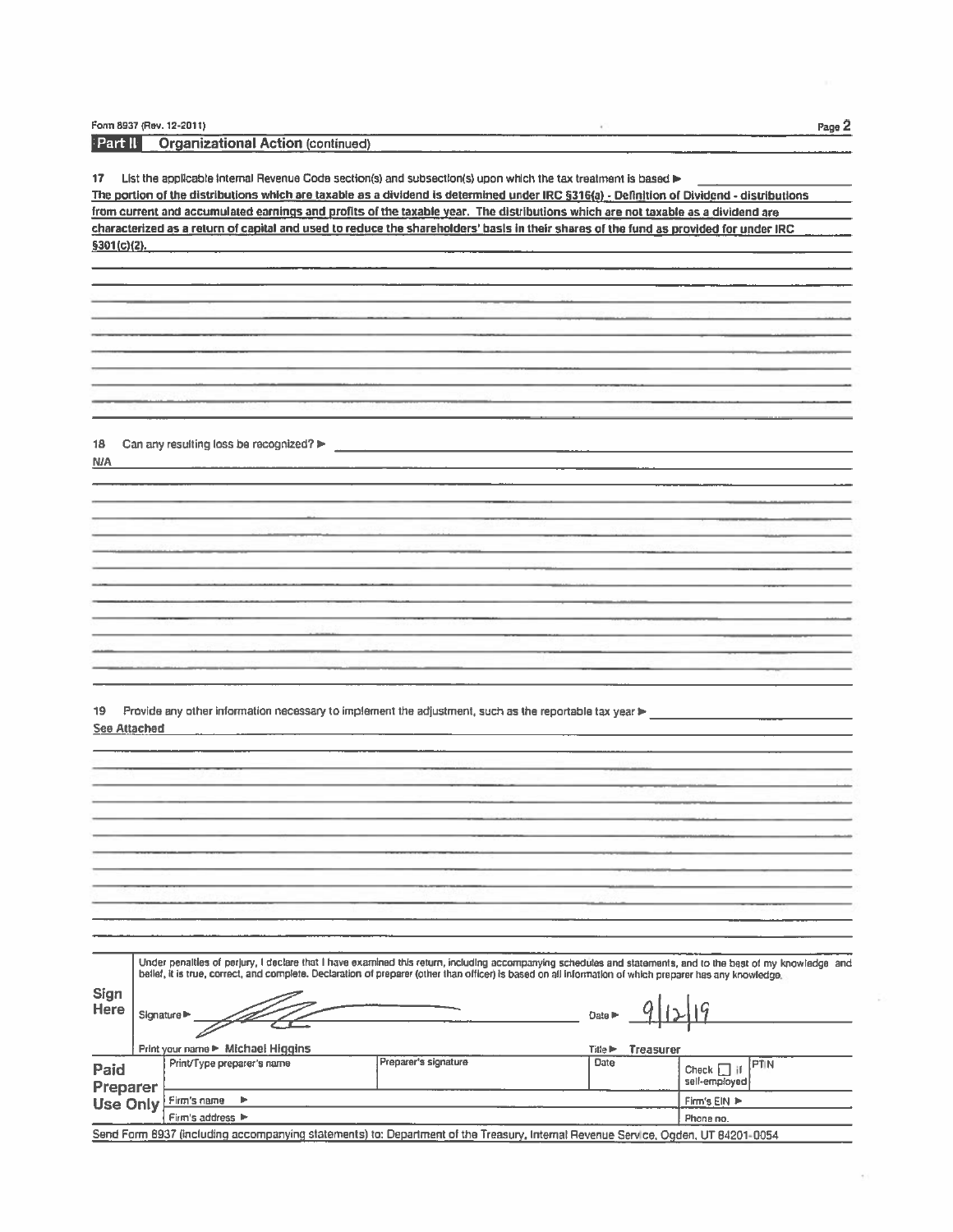Form 8937 (Rev. 12-2011)

 $\frac{1}{2}$ 

| ∣ Part II∶          |                                                   | <b>Organizational Action (continued)</b>                                                                                                                     |                      |                                                         |                             |
|---------------------|---------------------------------------------------|--------------------------------------------------------------------------------------------------------------------------------------------------------------|----------------------|---------------------------------------------------------|-----------------------------|
|                     |                                                   |                                                                                                                                                              |                      |                                                         |                             |
| 17                  |                                                   | List the applicable internal Revenue Code section(s) and subsection(s) upon which the tax treatment is based >                                               |                      |                                                         |                             |
|                     |                                                   | The portion of the distributions which are taxable as a dividend is determined under IRC §316(a) - Definition of Dividend - distributions                    |                      |                                                         |                             |
|                     |                                                   | from current and accumulated earnings and profits of the taxable year. The distributions which are not taxable as a dividend are                             |                      |                                                         |                             |
|                     |                                                   | characterized as a return of capital and used to reduce the shareholders' basis in their shares of the fund as provided for under IRC                        |                      |                                                         |                             |
| \$301(c)(2).        |                                                   |                                                                                                                                                              |                      |                                                         |                             |
|                     |                                                   |                                                                                                                                                              |                      |                                                         |                             |
|                     |                                                   |                                                                                                                                                              |                      |                                                         |                             |
|                     |                                                   |                                                                                                                                                              |                      |                                                         |                             |
|                     |                                                   |                                                                                                                                                              |                      |                                                         |                             |
|                     |                                                   |                                                                                                                                                              |                      |                                                         |                             |
|                     |                                                   |                                                                                                                                                              |                      |                                                         |                             |
|                     |                                                   |                                                                                                                                                              |                      |                                                         |                             |
|                     |                                                   |                                                                                                                                                              |                      |                                                         |                             |
|                     |                                                   |                                                                                                                                                              |                      |                                                         |                             |
|                     |                                                   |                                                                                                                                                              |                      |                                                         |                             |
|                     |                                                   |                                                                                                                                                              |                      |                                                         |                             |
| 18                  |                                                   | Can any resulting loss be recognized?                                                                                                                        |                      |                                                         |                             |
| <b>NIA</b>          |                                                   |                                                                                                                                                              |                      |                                                         |                             |
|                     |                                                   |                                                                                                                                                              |                      |                                                         |                             |
|                     |                                                   |                                                                                                                                                              |                      |                                                         |                             |
|                     |                                                   |                                                                                                                                                              |                      |                                                         |                             |
|                     |                                                   |                                                                                                                                                              |                      |                                                         |                             |
|                     |                                                   |                                                                                                                                                              |                      |                                                         |                             |
|                     |                                                   |                                                                                                                                                              |                      |                                                         |                             |
|                     |                                                   |                                                                                                                                                              |                      |                                                         |                             |
|                     |                                                   |                                                                                                                                                              |                      |                                                         |                             |
|                     |                                                   |                                                                                                                                                              |                      |                                                         |                             |
|                     |                                                   |                                                                                                                                                              |                      |                                                         |                             |
|                     |                                                   |                                                                                                                                                              |                      |                                                         |                             |
|                     |                                                   |                                                                                                                                                              |                      |                                                         |                             |
|                     |                                                   |                                                                                                                                                              |                      |                                                         |                             |
| 19                  |                                                   | Provide any other information necessary to implement the adjustment, such as the reportable tax year >                                                       |                      |                                                         |                             |
| <b>See Attached</b> |                                                   |                                                                                                                                                              |                      |                                                         |                             |
|                     |                                                   |                                                                                                                                                              |                      |                                                         |                             |
|                     |                                                   |                                                                                                                                                              |                      |                                                         |                             |
|                     |                                                   |                                                                                                                                                              |                      |                                                         |                             |
|                     |                                                   |                                                                                                                                                              |                      |                                                         |                             |
|                     |                                                   |                                                                                                                                                              |                      |                                                         |                             |
|                     |                                                   |                                                                                                                                                              |                      |                                                         |                             |
|                     |                                                   |                                                                                                                                                              |                      |                                                         |                             |
|                     |                                                   |                                                                                                                                                              |                      |                                                         |                             |
|                     |                                                   |                                                                                                                                                              |                      |                                                         |                             |
|                     |                                                   |                                                                                                                                                              |                      |                                                         |                             |
|                     |                                                   |                                                                                                                                                              |                      |                                                         |                             |
|                     |                                                   |                                                                                                                                                              |                      |                                                         |                             |
|                     |                                                   |                                                                                                                                                              |                      |                                                         |                             |
|                     |                                                   | Under penalties of perjury, I declare that I have examined this return, including accompanying schedules and statements, and to the best of my knowledge and |                      |                                                         |                             |
|                     |                                                   | bellef, it is true, correct, and complete. Declaration of preparer (other than officer) is based on all information of which preparer has any knowledge.     |                      |                                                         |                             |
| <b>Sign</b>         |                                                   |                                                                                                                                                              |                      |                                                         |                             |
| Here                |                                                   |                                                                                                                                                              |                      |                                                         |                             |
|                     |                                                   | Signature <sup>1</sup>                                                                                                                                       |                      | Date I                                                  |                             |
|                     |                                                   |                                                                                                                                                              |                      |                                                         |                             |
|                     |                                                   | Print your name ► Michael Higgins                                                                                                                            | Preparer's signature | <b>Treasurer</b><br>Title $\blacktriangleright$<br>Date |                             |
| Paid                |                                                   | Print/Type preparer's name                                                                                                                                   |                      |                                                         | <b>PTIN</b><br>$Check$ $[]$ |
| Preparer            |                                                   |                                                                                                                                                              |                      |                                                         | self-employed               |
| <b>Use Only</b>     |                                                   | Firm's name<br>▶                                                                                                                                             |                      |                                                         | Firm's EIN >                |
|                     | Firm's address $\blacktriangleright$<br>Phone no. |                                                                                                                                                              |                      |                                                         |                             |
|                     |                                                   | Send Form 8937 (including accompanying statements) to: Department of the Treasury, Internal Revenue Service, Ogden, UT 84201-0054                            |                      |                                                         |                             |

à.